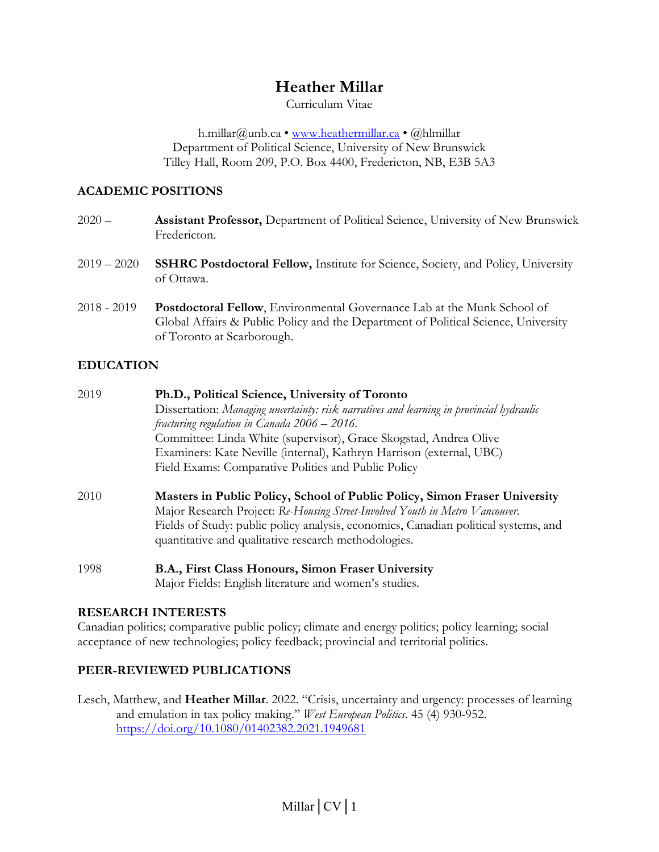# **Heather Millar**

Curriculum Vitae

h.millar@unb.ca • [www.heathermillar.ca](http://www.heathermillar.ca/) • @hlmillar Department of Political Science, University of New Brunswick Tilley Hall, Room 209, P.O. Box 4400, Fredericton, NB, E3B 5A3

## **ACADEMIC POSITIONS**

| $2020 -$ | <b>Assistant Professor, Department of Political Science, University of New Brunswick</b> |
|----------|------------------------------------------------------------------------------------------|
|          | Fredericton.                                                                             |

- 2019 2020 **SSHRC Postdoctoral Fellow,** Institute for Science, Society, and Policy, University of Ottawa.
- 2018 2019 **Postdoctoral Fellow**, Environmental Governance Lab at the Munk School of Global Affairs & Public Policy and the Department of Political Science, University of Toronto at Scarborough.

## **EDUCATION**

| 2019 | Ph.D., Political Science, University of Toronto                                          |
|------|------------------------------------------------------------------------------------------|
|      | Dissertation: Managing uncertainty: risk narratives and learning in provincial hydraulic |
|      | fracturing regulation in Canada $2006 - 2016$ .                                          |
|      | Committee: Linda White (supervisor), Grace Skogstad, Andrea Olive                        |
|      | Examiners: Kate Neville (internal), Kathryn Harrison (external, UBC)                     |
|      | Field Exams: Comparative Politics and Public Policy                                      |
| 2010 | Masters in Public Policy, School of Public Policy, Simon Fraser University               |
|      | Major Research Project: Re-Housing Street-Involved Youth in Metro Vancouver.             |
|      | Fields of Study: public policy analysis, economics, Canadian political systems, and      |
|      | quantitative and qualitative research methodologies.                                     |
| 1998 | B.A., First Class Honours, Simon Fraser University                                       |
|      | Major Fields: English literature and women's studies.                                    |

## **RESEARCH INTERESTS**

Canadian politics; comparative public policy; climate and energy politics; policy learning; social acceptance of new technologies; policy feedback; provincial and territorial politics.

## **PEER-REVIEWED PUBLICATIONS**

Lesch, Matthew, and **Heather Millar**. 2022. "Crisis, uncertainty and urgency: processes of learning and emulation in tax policy making." *West European Politics*. 45 (4) 930-952. <https://doi.org/10.1080/01402382.2021.1949681>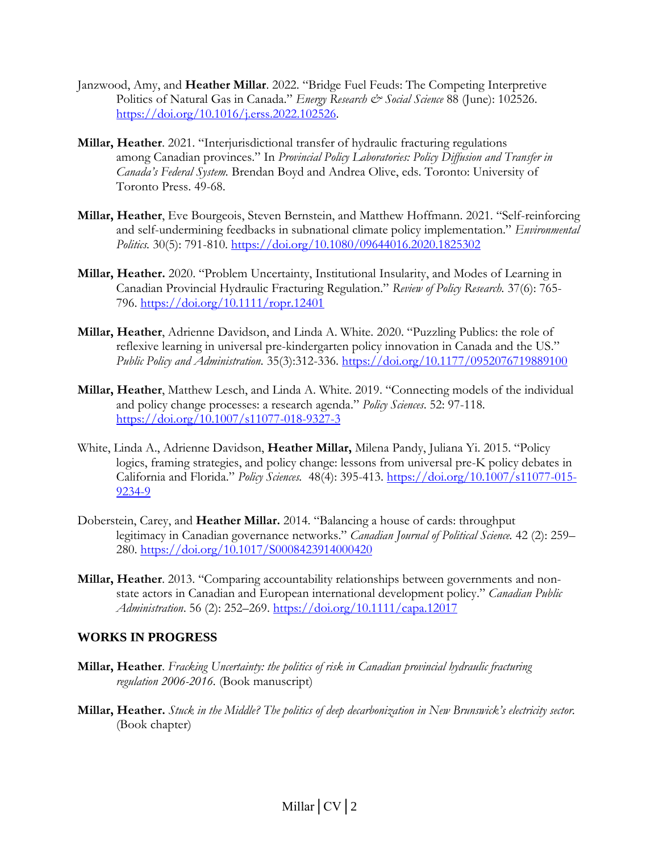- Janzwood, Amy, and **Heather Millar**. 2022. "Bridge Fuel Feuds: The Competing Interpretive Politics of Natural Gas in Canada." *Energy Research & Social Science* 88 (June): 102526. [https://doi.org/10.1016/j.erss.2022.102526.](https://doi.org/10.1016/j.erss.2022.102526)
- **Millar, Heather**. 2021. "Interjurisdictional transfer of hydraulic fracturing regulations among Canadian provinces." In *Provincial Policy Laboratories: Policy Diffusion and Transfer in Canada's Federal System.* Brendan Boyd and Andrea Olive, eds. Toronto: University of Toronto Press. 49-68.
- **Millar, Heather**, Eve Bourgeois, Steven Bernstein, and Matthew Hoffmann. 2021. "Self-reinforcing and self-undermining feedbacks in subnational climate policy implementation." *Environmental Politics.* 30(5): 791-810. <https://doi.org/10.1080/09644016.2020.1825302>
- **Millar, Heather.** 2020. "Problem Uncertainty, Institutional Insularity, and Modes of Learning in Canadian Provincial Hydraulic Fracturing Regulation." *Review of Policy Research.* 37(6): 765- 796.<https://doi.org/10.1111/ropr.12401>
- **Millar, Heather**, Adrienne Davidson, and Linda A. White. 2020. "Puzzling Publics: the role of reflexive learning in universal pre-kindergarten policy innovation in Canada and the US." *Public Policy and Administration.* 35(3):312-336. <https://doi.org/10.1177/0952076719889100>
- **Millar, Heather**, Matthew Lesch, and Linda A. White. 2019. "Connecting models of the individual and policy change processes: a research agenda." *Policy Sciences*. 52: 97-118. <https://doi.org/10.1007/s11077-018-9327-3>
- White, Linda A., Adrienne Davidson, **Heather Millar,** Milena Pandy, Juliana Yi. 2015. "Policy logics, framing strategies, and policy change: lessons from universal pre-K policy debates in California and Florida." *Policy Sciences.* 48(4): 395-413. [https://doi.org/10.1007/s11077-015-](https://doi.org/10.1007/s11077-015-9234-9) [9234-9](https://doi.org/10.1007/s11077-015-9234-9)
- Doberstein, Carey, and **Heather Millar.** 2014. "Balancing a house of cards: throughput legitimacy in Canadian governance networks." *Canadian Journal of Political Science.* 42 (2): 259– 280. <https://doi.org/10.1017/S0008423914000420>
- **Millar, Heather**. 2013. "Comparing accountability relationships between governments and nonstate actors in Canadian and European international development policy." *Canadian Public Administration*. 56 (2): 252–269.<https://doi.org/10.1111/capa.12017>

## **WORKS IN PROGRESS**

- **Millar, Heather**. *Fracking Uncertainty: the politics of risk in Canadian provincial hydraulic fracturing regulation 2006-2016.* (Book manuscript)
- **Millar, Heather.** *Stuck in the Middle? The politics of deep decarbonization in New Brunswick's electricity sector.* (Book chapter)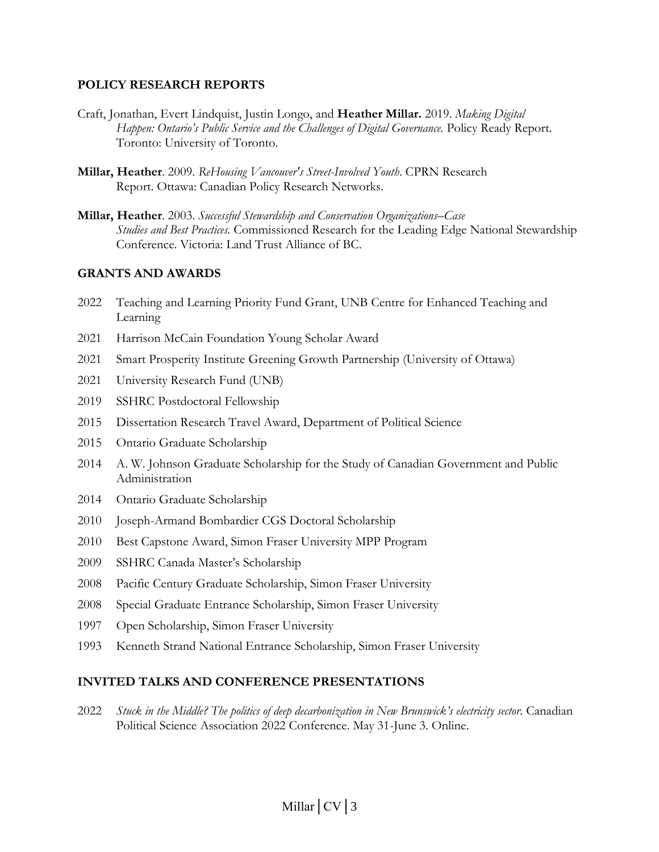#### **POLICY RESEARCH REPORTS**

- Craft, Jonathan, Evert Lindquist, Justin Longo, and **Heather Millar.** 2019. *Making Digital Happen: Ontario's Public Service and the Challenges of Digital Governance.* Policy Ready Report. Toronto: University of Toronto.
- **Millar, Heather**. 2009. *ReHousing Vancouver's Street-Involved Youth*. CPRN Research Report. Ottawa: Canadian Policy Research Networks.

**Millar, Heather**. 2003. *Successful Stewardship and Conservation Organizations–Case Studies and Best Practices.* Commissioned Research for the Leading Edge National Stewardship Conference. Victoria: Land Trust Alliance of BC.

#### **GRANTS AND AWARDS**

- 2022 Teaching and Learning Priority Fund Grant, UNB Centre for Enhanced Teaching and Learning
- 2021 Harrison McCain Foundation Young Scholar Award
- 2021 Smart Prosperity Institute Greening Growth Partnership (University of Ottawa)
- 2021 University Research Fund (UNB)
- 2019 SSHRC Postdoctoral Fellowship
- 2015 Dissertation Research Travel Award, Department of Political Science
- 2015 Ontario Graduate Scholarship
- 2014 A. W. Johnson Graduate Scholarship for the Study of Canadian Government and Public Administration
- 2014 Ontario Graduate Scholarship
- 2010 Joseph-Armand Bombardier CGS Doctoral Scholarship
- 2010 Best Capstone Award, Simon Fraser University MPP Program
- 2009 SSHRC Canada Master's Scholarship
- 2008 Pacific Century Graduate Scholarship, Simon Fraser University
- 2008 Special Graduate Entrance Scholarship, Simon Fraser University
- 1997 Open Scholarship, Simon Fraser University
- 1993 Kenneth Strand National Entrance Scholarship, Simon Fraser University

#### **INVITED TALKS AND CONFERENCE PRESENTATIONS**

2022 *Stuck in the Middle? The politics of deep decarbonization in New Brunswick's electricity sector.* Canadian Political Science Association 2022 Conference. May 31-June 3. Online.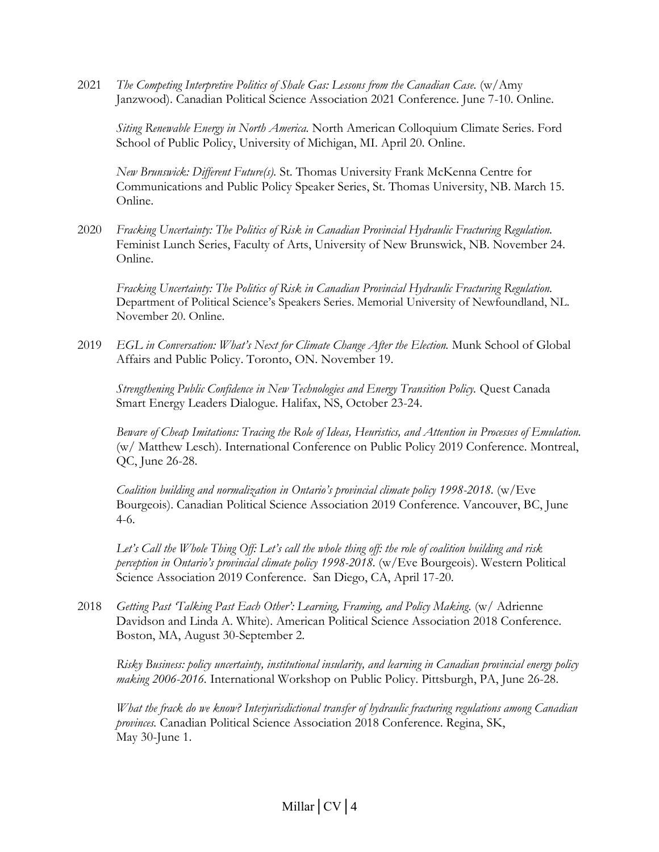2021 *The Competing Interpretive Politics of Shale Gas: Lessons from the Canadian Case.* (w/Amy Janzwood). Canadian Political Science Association 2021 Conference. June 7-10. Online.

*Siting Renewable Energy in North America.* North American Colloquium Climate Series. Ford School of Public Policy, University of Michigan, MI. April 20. Online.

*New Brunswick: Different Future(s).* St. Thomas University Frank McKenna Centre for Communications and Public Policy Speaker Series, St. Thomas University, NB. March 15. Online.

2020 *Fracking Uncertainty: The Politics of Risk in Canadian Provincial Hydraulic Fracturing Regulation.* Feminist Lunch Series, Faculty of Arts, University of New Brunswick, NB. November 24. Online.

*Fracking Uncertainty: The Politics of Risk in Canadian Provincial Hydraulic Fracturing Regulation.* Department of Political Science's Speakers Series. Memorial University of Newfoundland, NL. November 20. Online.

2019 *EGL in Conversation: What's Next for Climate Change After the Election.* Munk School of Global Affairs and Public Policy. Toronto, ON. November 19.

*Strengthening Public Confidence in New Technologies and Energy Transition Policy.* Quest Canada Smart Energy Leaders Dialogue. Halifax, NS, October 23-24.

*Beware of Cheap Imitations: Tracing the Role of Ideas, Heuristics, and Attention in Processes of Emulation.*  (w/ Matthew Lesch). International Conference on Public Policy 2019 Conference. Montreal, QC, June 26-28.

*Coalition building and normalization in Ontario's provincial climate policy 1998-2018.* (w/Eve Bourgeois). Canadian Political Science Association 2019 Conference. Vancouver, BC, June 4-6.

*Let's Call the Whole Thing Off: Let's call the whole thing off: the role of coalition building and risk perception in Ontario's provincial climate policy 1998-2018.* (w/Eve Bourgeois). Western Political Science Association 2019 Conference. San Diego, CA, April 17-20.

2018 *Getting Past 'Talking Past Each Other': Learning, Framing, and Policy Making.* (w/ Adrienne Davidson and Linda A. White). American Political Science Association 2018 Conference. Boston, MA, August 30-September 2.

*Risky Business: policy uncertainty, institutional insularity, and learning in Canadian provincial energy policy making 2006-2016.* International Workshop on Public Policy. Pittsburgh, PA, June 26-28.

*What the frack do we know? Interjurisdictional transfer of hydraulic fracturing regulations among Canadian provinces.* Canadian Political Science Association 2018 Conference. Regina, SK, May 30-June 1.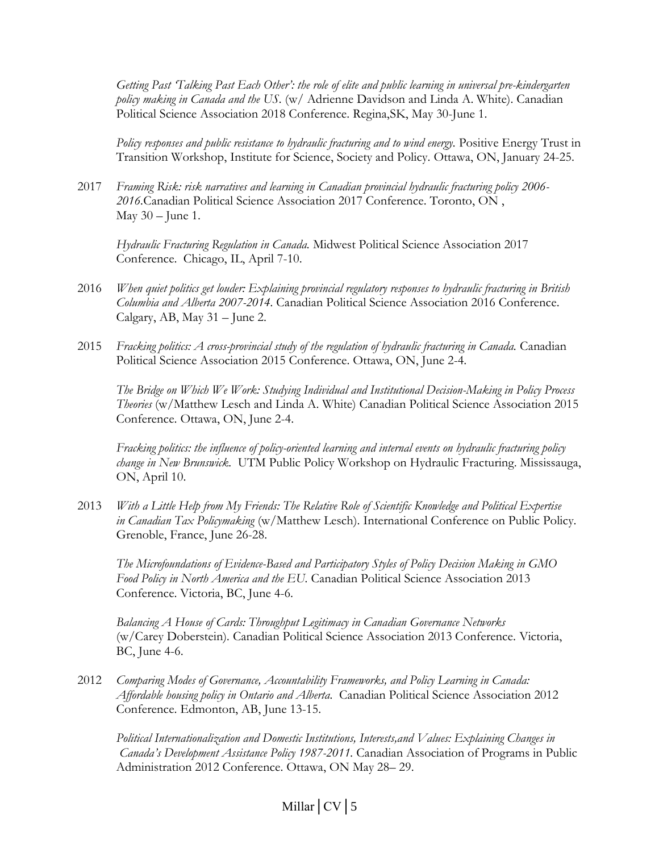*Getting Past 'Talking Past Each Other': the role of elite and public learning in universal pre-kindergarten policy making in Canada and the US.* (w/ Adrienne Davidson and Linda A. White). Canadian Political Science Association 2018 Conference. Regina,SK, May 30-June 1.

*Policy responses and public resistance to hydraulic fracturing and to wind energy.* Positive Energy Trust in Transition Workshop, Institute for Science, Society and Policy. Ottawa, ON, January 24-25.

2017 *Framing Risk: risk narratives and learning in Canadian provincial hydraulic fracturing policy 2006- 2016.*Canadian Political Science Association 2017 Conference. Toronto, ON , May  $30$  – June 1.

*Hydraulic Fracturing Regulation in Canada.* Midwest Political Science Association 2017 Conference. Chicago, IL, April 7-10.

- 2016 *When quiet politics get louder: Explaining provincial regulatory responses to hydraulic fracturing in British Columbia and Alberta 2007-2014.* Canadian Political Science Association 2016 Conference. Calgary, AB, May 31 – June 2.
- 2015 *Fracking politics: A cross-provincial study of the regulation of hydraulic fracturing in Canada.* Canadian Political Science Association 2015 Conference. Ottawa, ON, June 2-4.

*The Bridge on Which We Work: Studying Individual and Institutional Decision-Making in Policy Process Theories* (w/Matthew Lesch and Linda A. White) Canadian Political Science Association 2015 Conference. Ottawa, ON, June 2-4.

*Fracking politics: the influence of policy-oriented learning and internal events on hydraulic fracturing policy change in New Brunswick.* UTM Public Policy Workshop on Hydraulic Fracturing. Mississauga, ON, April 10.

2013 *With a Little Help from My Friends: The Relative Role of Scientific Knowledge and Political Expertise in Canadian Tax Policymaking* (w/Matthew Lesch). International Conference on Public Policy. Grenoble, France, June 26-28.

*The Microfoundations of Evidence-Based and Participatory Styles of Policy Decision Making in GMO Food Policy in North America and the EU.* Canadian Political Science Association 2013 Conference. Victoria, BC, June 4-6.

*Balancing A House of Cards: Throughput Legitimacy in Canadian Governance Networks* (w/Carey Doberstein)*.* Canadian Political Science Association 2013 Conference. Victoria, BC, June 4-6.

2012 *Comparing Modes of Governance, Accountability Frameworks, and Policy Learning in Canada: Affordable housing policy in Ontario and Alberta.* Canadian Political Science Association 2012 Conference. Edmonton, AB, June 13-15.

*Political Internationalization and Domestic Institutions, Interests,and Values: Explaining Changes in Canada's Development Assistance Policy 1987-2011.* Canadian Association of Programs in Public Administration 2012 Conference. Ottawa, ON May 28– 29.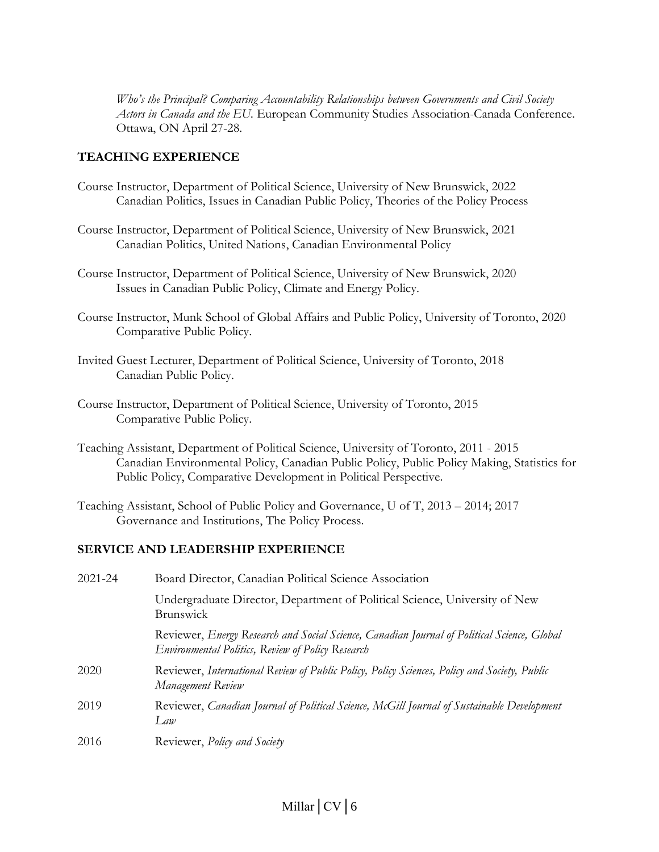*Who's the Principal? Comparing Accountability Relationships between Governments and Civil Society Actors in Canada and the EU.* European Community Studies Association-Canada Conference. Ottawa, ON April 27-28.

## **TEACHING EXPERIENCE**

- Course Instructor, Department of Political Science, University of New Brunswick, 2022 Canadian Politics, Issues in Canadian Public Policy, Theories of the Policy Process
- Course Instructor, Department of Political Science, University of New Brunswick, 2021 Canadian Politics, United Nations, Canadian Environmental Policy
- Course Instructor, Department of Political Science, University of New Brunswick, 2020 Issues in Canadian Public Policy, Climate and Energy Policy.
- Course Instructor, Munk School of Global Affairs and Public Policy, University of Toronto, 2020 Comparative Public Policy.
- Invited Guest Lecturer, Department of Political Science, University of Toronto, 2018 Canadian Public Policy.
- Course Instructor, Department of Political Science, University of Toronto, 2015 Comparative Public Policy.
- Teaching Assistant, Department of Political Science, University of Toronto, 2011 2015 Canadian Environmental Policy, Canadian Public Policy, Public Policy Making, Statistics for Public Policy, Comparative Development in Political Perspective.
- Teaching Assistant, School of Public Policy and Governance, U of T, 2013 2014; 2017 Governance and Institutions, The Policy Process.

## **SERVICE AND LEADERSHIP EXPERIENCE**

| 2021-24 | Board Director, Canadian Political Science Association                                                                                           |
|---------|--------------------------------------------------------------------------------------------------------------------------------------------------|
|         | Undergraduate Director, Department of Political Science, University of New<br><b>Brunswick</b>                                                   |
|         | Reviewer, Energy Research and Social Science, Canadian Journal of Political Science, Global<br>Environmental Politics, Review of Policy Research |
| 2020    | Reviewer, International Review of Public Policy, Policy Sciences, Policy and Society, Public<br>Management Review                                |
| 2019    | Reviewer, Canadian Journal of Political Science, McGill Journal of Sustainable Development<br>Law                                                |
| 2016    | Reviewer, <i>Policy and Society</i>                                                                                                              |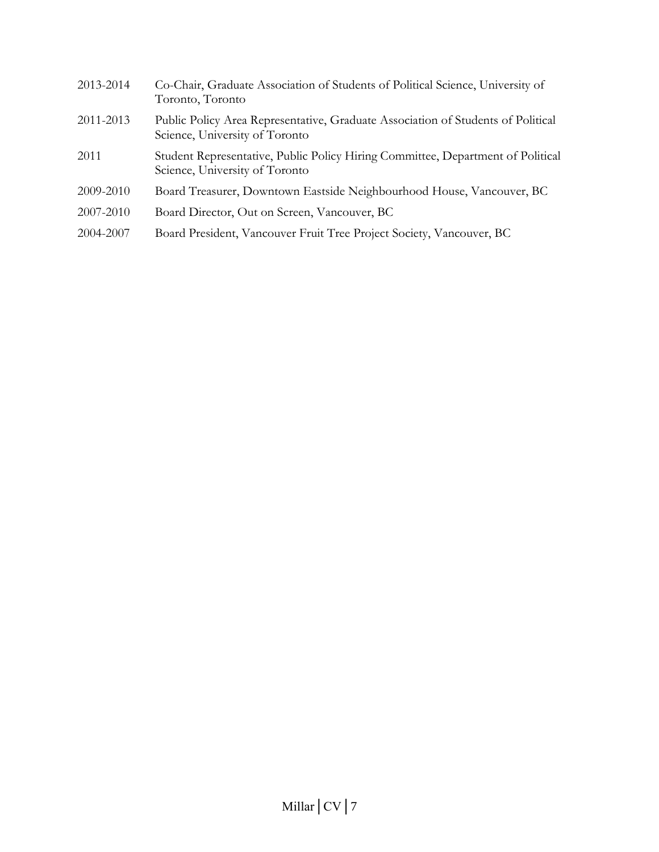| 2013-2014 | Co-Chair, Graduate Association of Students of Political Science, University of<br>Toronto, Toronto                 |
|-----------|--------------------------------------------------------------------------------------------------------------------|
| 2011-2013 | Public Policy Area Representative, Graduate Association of Students of Political<br>Science, University of Toronto |
| 2011      | Student Representative, Public Policy Hiring Committee, Department of Political<br>Science, University of Toronto  |
| 2009-2010 | Board Treasurer, Downtown Eastside Neighbourhood House, Vancouver, BC                                              |
| 2007-2010 | Board Director, Out on Screen, Vancouver, BC                                                                       |
| 2004-2007 | Board President, Vancouver Fruit Tree Project Society, Vancouver, BC                                               |